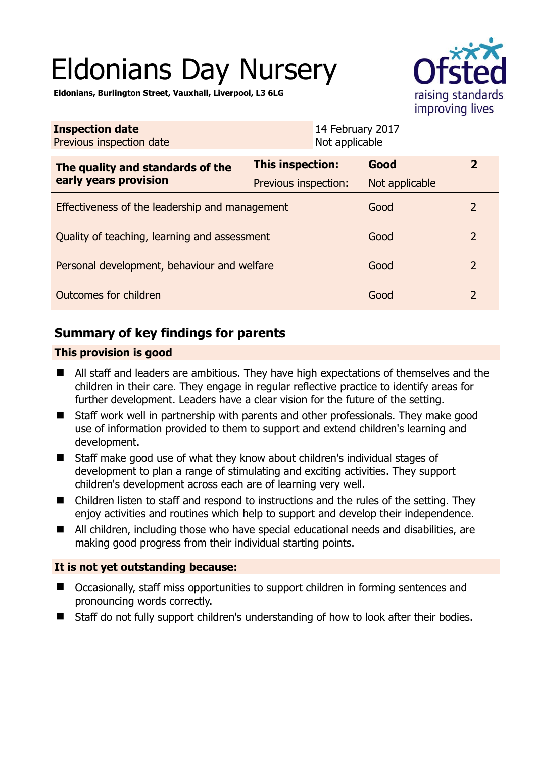# Eldonians Day Nursery



**Eldonians, Burlington Street, Vauxhall, Liverpool, L3 6LG** 

| <b>Inspection date</b><br>Previous inspection date        |                         | 14 February 2017<br>Not applicable |                |                |
|-----------------------------------------------------------|-------------------------|------------------------------------|----------------|----------------|
| The quality and standards of the<br>early years provision | <b>This inspection:</b> |                                    | Good           | $\overline{2}$ |
|                                                           | Previous inspection:    |                                    | Not applicable |                |
| Effectiveness of the leadership and management            |                         |                                    | Good           | $\mathcal{L}$  |
| Quality of teaching, learning and assessment              |                         |                                    | Good           | $\overline{2}$ |
| Personal development, behaviour and welfare               |                         |                                    | Good           | $\overline{2}$ |
| Outcomes for children                                     |                         |                                    | Good           | $\overline{2}$ |

# **Summary of key findings for parents**

## **This provision is good**

- All staff and leaders are ambitious. They have high expectations of themselves and the children in their care. They engage in regular reflective practice to identify areas for further development. Leaders have a clear vision for the future of the setting.
- Staff work well in partnership with parents and other professionals. They make good use of information provided to them to support and extend children's learning and development.
- Staff make good use of what they know about children's individual stages of development to plan a range of stimulating and exciting activities. They support children's development across each are of learning very well.
- Children listen to staff and respond to instructions and the rules of the setting. They enjoy activities and routines which help to support and develop their independence.
- All children, including those who have special educational needs and disabilities, are making good progress from their individual starting points.

### **It is not yet outstanding because:**

- Occasionally, staff miss opportunities to support children in forming sentences and pronouncing words correctly.
- Staff do not fully support children's understanding of how to look after their bodies.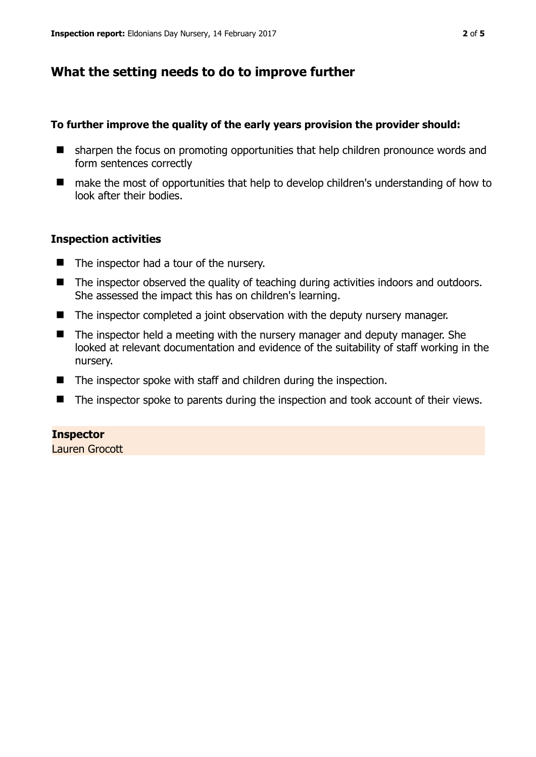## **What the setting needs to do to improve further**

#### **To further improve the quality of the early years provision the provider should:**

- sharpen the focus on promoting opportunities that help children pronounce words and form sentences correctly
- make the most of opportunities that help to develop children's understanding of how to look after their bodies.

#### **Inspection activities**

- The inspector had a tour of the nursery.
- The inspector observed the quality of teaching during activities indoors and outdoors. She assessed the impact this has on children's learning.
- The inspector completed a joint observation with the deputy nursery manager.
- The inspector held a meeting with the nursery manager and deputy manager. She looked at relevant documentation and evidence of the suitability of staff working in the nursery.
- The inspector spoke with staff and children during the inspection.
- The inspector spoke to parents during the inspection and took account of their views.

#### **Inspector**

Lauren Grocott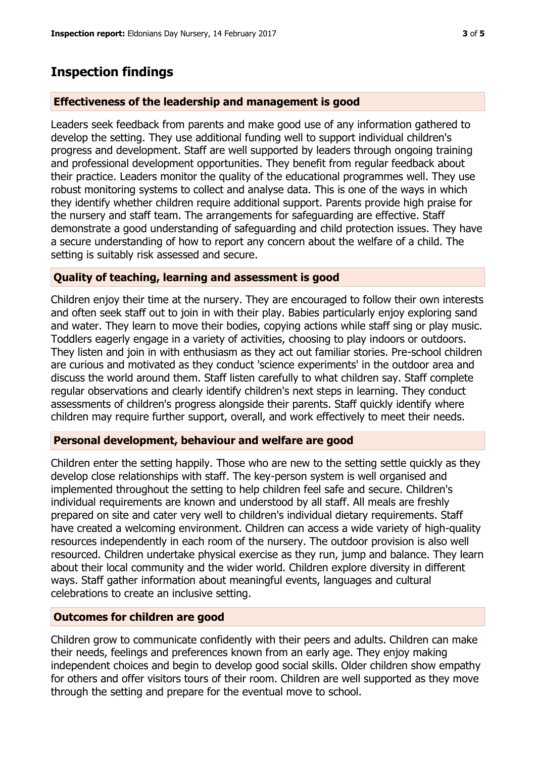## **Inspection findings**

#### **Effectiveness of the leadership and management is good**

Leaders seek feedback from parents and make good use of any information gathered to develop the setting. They use additional funding well to support individual children's progress and development. Staff are well supported by leaders through ongoing training and professional development opportunities. They benefit from regular feedback about their practice. Leaders monitor the quality of the educational programmes well. They use robust monitoring systems to collect and analyse data. This is one of the ways in which they identify whether children require additional support. Parents provide high praise for the nursery and staff team. The arrangements for safeguarding are effective. Staff demonstrate a good understanding of safeguarding and child protection issues. They have a secure understanding of how to report any concern about the welfare of a child. The setting is suitably risk assessed and secure.

#### **Quality of teaching, learning and assessment is good**

Children enjoy their time at the nursery. They are encouraged to follow their own interests and often seek staff out to join in with their play. Babies particularly enjoy exploring sand and water. They learn to move their bodies, copying actions while staff sing or play music. Toddlers eagerly engage in a variety of activities, choosing to play indoors or outdoors. They listen and join in with enthusiasm as they act out familiar stories. Pre-school children are curious and motivated as they conduct 'science experiments' in the outdoor area and discuss the world around them. Staff listen carefully to what children say. Staff complete regular observations and clearly identify children's next steps in learning. They conduct assessments of children's progress alongside their parents. Staff quickly identify where children may require further support, overall, and work effectively to meet their needs.

#### **Personal development, behaviour and welfare are good**

Children enter the setting happily. Those who are new to the setting settle quickly as they develop close relationships with staff. The key-person system is well organised and implemented throughout the setting to help children feel safe and secure. Children's individual requirements are known and understood by all staff. All meals are freshly prepared on site and cater very well to children's individual dietary requirements. Staff have created a welcoming environment. Children can access a wide variety of high-quality resources independently in each room of the nursery. The outdoor provision is also well resourced. Children undertake physical exercise as they run, jump and balance. They learn about their local community and the wider world. Children explore diversity in different ways. Staff gather information about meaningful events, languages and cultural celebrations to create an inclusive setting.

#### **Outcomes for children are good**

Children grow to communicate confidently with their peers and adults. Children can make their needs, feelings and preferences known from an early age. They enjoy making independent choices and begin to develop good social skills. Older children show empathy for others and offer visitors tours of their room. Children are well supported as they move through the setting and prepare for the eventual move to school.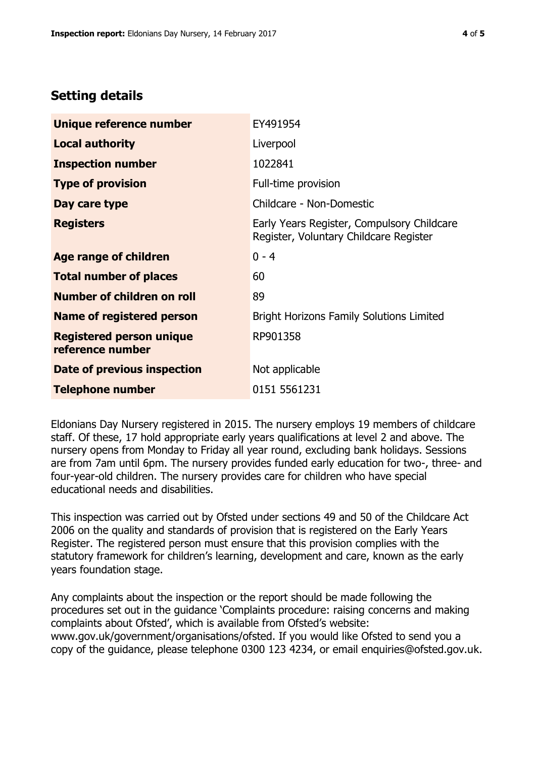# **Setting details**

| Unique reference number                             | EY491954                                                                             |  |
|-----------------------------------------------------|--------------------------------------------------------------------------------------|--|
| <b>Local authority</b>                              | Liverpool                                                                            |  |
| <b>Inspection number</b>                            | 1022841                                                                              |  |
| <b>Type of provision</b>                            | Full-time provision                                                                  |  |
| Day care type                                       | Childcare - Non-Domestic                                                             |  |
| <b>Registers</b>                                    | Early Years Register, Compulsory Childcare<br>Register, Voluntary Childcare Register |  |
| Age range of children                               | $0 - 4$                                                                              |  |
| <b>Total number of places</b>                       | 60                                                                                   |  |
| Number of children on roll                          | 89                                                                                   |  |
| Name of registered person                           | <b>Bright Horizons Family Solutions Limited</b>                                      |  |
| <b>Registered person unique</b><br>reference number | RP901358                                                                             |  |
| Date of previous inspection                         | Not applicable                                                                       |  |
| <b>Telephone number</b>                             | 0151 5561231                                                                         |  |

Eldonians Day Nursery registered in 2015. The nursery employs 19 members of childcare staff. Of these, 17 hold appropriate early years qualifications at level 2 and above. The nursery opens from Monday to Friday all year round, excluding bank holidays. Sessions are from 7am until 6pm. The nursery provides funded early education for two-, three- and four-year-old children. The nursery provides care for children who have special educational needs and disabilities.

This inspection was carried out by Ofsted under sections 49 and 50 of the Childcare Act 2006 on the quality and standards of provision that is registered on the Early Years Register. The registered person must ensure that this provision complies with the statutory framework for children's learning, development and care, known as the early years foundation stage.

Any complaints about the inspection or the report should be made following the procedures set out in the guidance 'Complaints procedure: raising concerns and making complaints about Ofsted', which is available from Ofsted's website: www.gov.uk/government/organisations/ofsted. If you would like Ofsted to send you a copy of the guidance, please telephone 0300 123 4234, or email enquiries@ofsted.gov.uk.